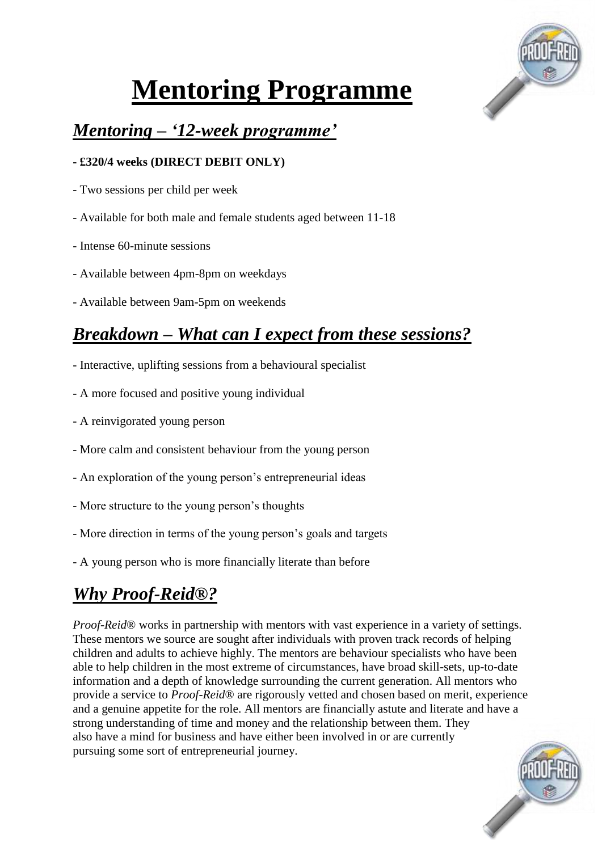

# **Mentoring Programme**

## *Mentoring – '12-week programme'*

### **- £320/4 weeks (DIRECT DEBIT ONLY)**

- Two sessions per child per week
- Available for both male and female students aged between 11-18
- Intense 60-minute sessions
- Available between 4pm-8pm on weekdays
- Available between 9am-5pm on weekends

# *Breakdown – What can I expect from these sessions?*

- Interactive, uplifting sessions from a behavioural specialist
- A more focused and positive young individual
- A reinvigorated young person
- More calm and consistent behaviour from the young person
- An exploration of the young person's entrepreneurial ideas
- More structure to the young person's thoughts
- More direction in terms of the young person's goals and targets
- A young person who is more financially literate than before

## *Why Proof-Reid®?*

*Proof-Reid*® works in partnership with mentors with vast experience in a variety of settings. These mentors we source are sought after individuals with proven track records of helping children and adults to achieve highly. The mentors are behaviour specialists who have been able to help children in the most extreme of circumstances, have broad skill-sets, up-to-date information and a depth of knowledge surrounding the current generation. All mentors who provide a service to *Proof-Reid*® are rigorously vetted and chosen based on merit, experience and a genuine appetite for the role. All mentors are financially astute and literate and have a strong understanding of time and money and the relationship between them. They also have a mind for business and have either been involved in or are currently pursuing some sort of entrepreneurial journey.